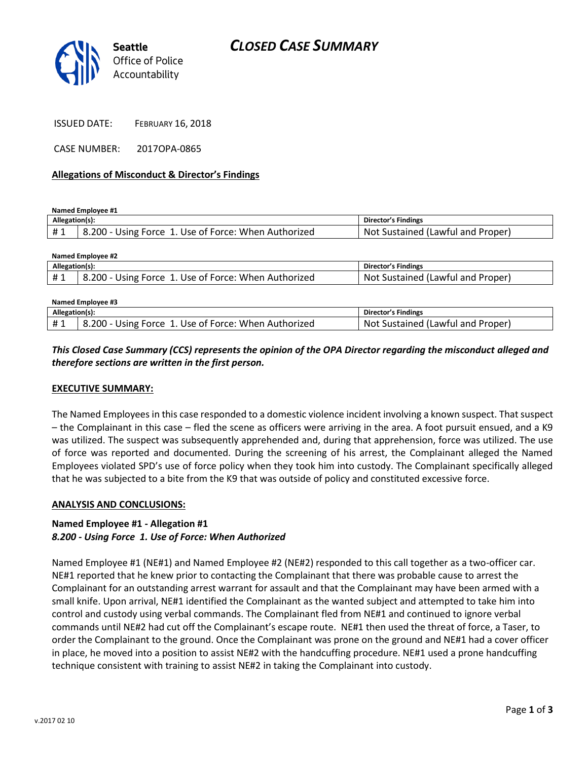

CASE NUMBER: 2017OPA-0865

#### **Allegations of Misconduct & Director's Findings**

**Named Employee #1**

**Named Employee #3**

| Allegation(s): |                                                       | Director's Findings               |
|----------------|-------------------------------------------------------|-----------------------------------|
|                | 18.200 - Using Force 1. Use of Force: When Authorized | Not Sustained (Lawful and Proper) |

| Named Employee #2 |                                                      |                                   |  |  |
|-------------------|------------------------------------------------------|-----------------------------------|--|--|
| Allegation(s):    |                                                      | Director's Findings               |  |  |
| #1                | 8.200 - Using Force 1. Use of Force: When Authorized | Not Sustained (Lawful and Proper) |  |  |
|                   |                                                      |                                   |  |  |

| Named Employee #3 |                                                      |                                        |  |
|-------------------|------------------------------------------------------|----------------------------------------|--|
| Allegation(s):    |                                                      | <b>Director's Findings</b>             |  |
| #1                | 8.200 - Using Force 1. Use of Force: When Authorized | t Sustained (Lawful and Proper)<br>Not |  |

## *This Closed Case Summary (CCS) represents the opinion of the OPA Director regarding the misconduct alleged and therefore sections are written in the first person.*

### **EXECUTIVE SUMMARY:**

The Named Employees in this case responded to a domestic violence incident involving a known suspect. That suspect – the Complainant in this case – fled the scene as officers were arriving in the area. A foot pursuit ensued, and a K9 was utilized. The suspect was subsequently apprehended and, during that apprehension, force was utilized. The use of force was reported and documented. During the screening of his arrest, the Complainant alleged the Named Employees violated SPD's use of force policy when they took him into custody. The Complainant specifically alleged that he was subjected to a bite from the K9 that was outside of policy and constituted excessive force.

#### **ANALYSIS AND CONCLUSIONS:**

### **Named Employee #1 - Allegation #1** *8.200 - Using Force 1. Use of Force: When Authorized*

Named Employee #1 (NE#1) and Named Employee #2 (NE#2) responded to this call together as a two-officer car. NE#1 reported that he knew prior to contacting the Complainant that there was probable cause to arrest the Complainant for an outstanding arrest warrant for assault and that the Complainant may have been armed with a small knife. Upon arrival, NE#1 identified the Complainant as the wanted subject and attempted to take him into control and custody using verbal commands. The Complainant fled from NE#1 and continued to ignore verbal commands until NE#2 had cut off the Complainant's escape route. NE#1 then used the threat of force, a Taser, to order the Complainant to the ground. Once the Complainant was prone on the ground and NE#1 had a cover officer in place, he moved into a position to assist NE#2 with the handcuffing procedure. NE#1 used a prone handcuffing technique consistent with training to assist NE#2 in taking the Complainant into custody.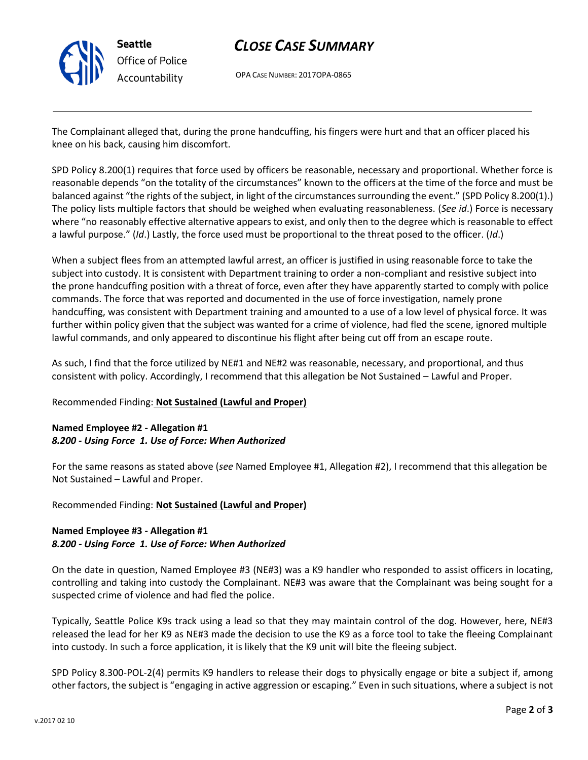

# *CLOSE CASE SUMMARY*

OPA CASE NUMBER: 2017OPA-0865

The Complainant alleged that, during the prone handcuffing, his fingers were hurt and that an officer placed his knee on his back, causing him discomfort.

SPD Policy 8.200(1) requires that force used by officers be reasonable, necessary and proportional. Whether force is reasonable depends "on the totality of the circumstances" known to the officers at the time of the force and must be balanced against "the rights of the subject, in light of the circumstances surrounding the event." (SPD Policy 8.200(1).) The policy lists multiple factors that should be weighed when evaluating reasonableness. (*See id*.) Force is necessary where "no reasonably effective alternative appears to exist, and only then to the degree which is reasonable to effect a lawful purpose." (*Id*.) Lastly, the force used must be proportional to the threat posed to the officer. (*Id*.)

When a subject flees from an attempted lawful arrest, an officer is justified in using reasonable force to take the subject into custody. It is consistent with Department training to order a non-compliant and resistive subject into the prone handcuffing position with a threat of force, even after they have apparently started to comply with police commands. The force that was reported and documented in the use of force investigation, namely prone handcuffing, was consistent with Department training and amounted to a use of a low level of physical force. It was further within policy given that the subject was wanted for a crime of violence, had fled the scene, ignored multiple lawful commands, and only appeared to discontinue his flight after being cut off from an escape route.

As such, I find that the force utilized by NE#1 and NE#2 was reasonable, necessary, and proportional, and thus consistent with policy. Accordingly, I recommend that this allegation be Not Sustained – Lawful and Proper.

## Recommended Finding: **Not Sustained (Lawful and Proper)**

## **Named Employee #2 - Allegation #1** *8.200 - Using Force 1. Use of Force: When Authorized*

For the same reasons as stated above (*see* Named Employee #1, Allegation #2), I recommend that this allegation be Not Sustained – Lawful and Proper.

Recommended Finding: **Not Sustained (Lawful and Proper)**

## **Named Employee #3 - Allegation #1** *8.200 - Using Force 1. Use of Force: When Authorized*

On the date in question, Named Employee #3 (NE#3) was a K9 handler who responded to assist officers in locating, controlling and taking into custody the Complainant. NE#3 was aware that the Complainant was being sought for a suspected crime of violence and had fled the police.

Typically, Seattle Police K9s track using a lead so that they may maintain control of the dog. However, here, NE#3 released the lead for her K9 as NE#3 made the decision to use the K9 as a force tool to take the fleeing Complainant into custody. In such a force application, it is likely that the K9 unit will bite the fleeing subject.

SPD Policy 8.300-POL-2(4) permits K9 handlers to release their dogs to physically engage or bite a subject if, among other factors, the subject is "engaging in active aggression or escaping." Even in such situations, where a subject is not